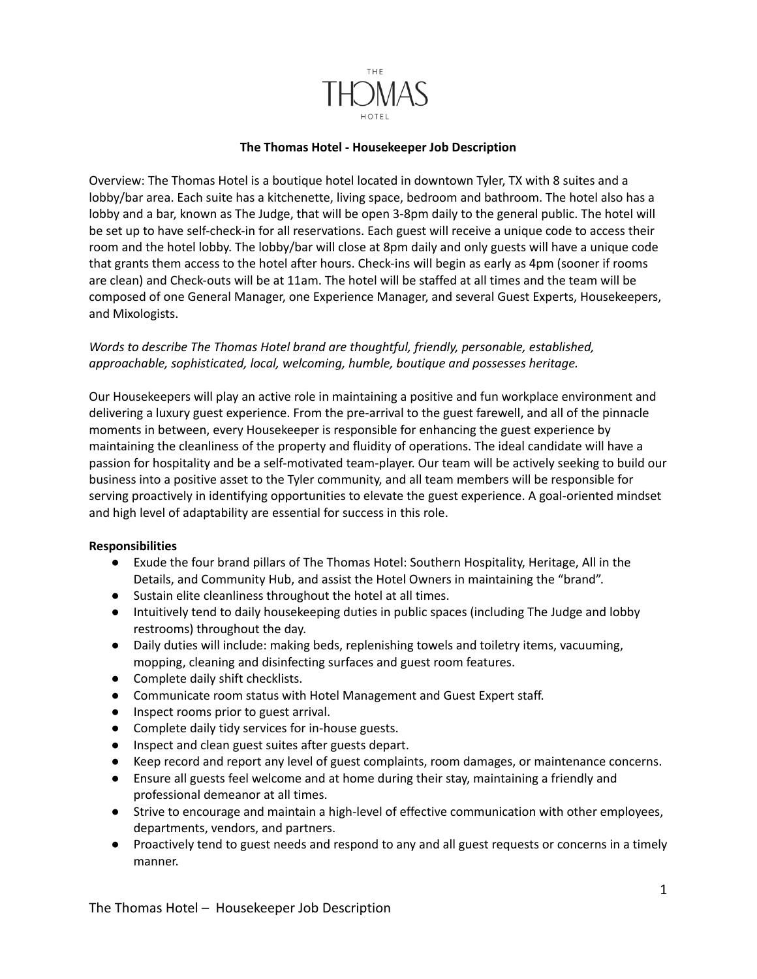

## **The Thomas Hotel - Housekeeper Job Description**

Overview: The Thomas Hotel is a boutique hotel located in downtown Tyler, TX with 8 suites and a lobby/bar area. Each suite has a kitchenette, living space, bedroom and bathroom. The hotel also has a lobby and a bar, known as The Judge, that will be open 3-8pm daily to the general public. The hotel will be set up to have self-check-in for all reservations. Each guest will receive a unique code to access their room and the hotel lobby. The lobby/bar will close at 8pm daily and only guests will have a unique code that grants them access to the hotel after hours. Check-ins will begin as early as 4pm (sooner if rooms are clean) and Check-outs will be at 11am. The hotel will be staffed at all times and the team will be composed of one General Manager, one Experience Manager, and several Guest Experts, Housekeepers, and Mixologists.

## *Words to describe The Thomas Hotel brand are thoughtful, friendly, personable, established, approachable, sophisticated, local, welcoming, humble, boutique and possesses heritage.*

Our Housekeepers will play an active role in maintaining a positive and fun workplace environment and delivering a luxury guest experience. From the pre-arrival to the guest farewell, and all of the pinnacle moments in between, every Housekeeper is responsible for enhancing the guest experience by maintaining the cleanliness of the property and fluidity of operations. The ideal candidate will have a passion for hospitality and be a self-motivated team-player. Our team will be actively seeking to build our business into a positive asset to the Tyler community, and all team members will be responsible for serving proactively in identifying opportunities to elevate the guest experience. A goal-oriented mindset and high level of adaptability are essential for success in this role.

## **Responsibilities**

- Exude the four brand pillars of The Thomas Hotel: Southern Hospitality, Heritage, All in the Details, and Community Hub, and assist the Hotel Owners in maintaining the "brand".
- Sustain elite cleanliness throughout the hotel at all times.
- Intuitively tend to daily housekeeping duties in public spaces (including The Judge and lobby restrooms) throughout the day.
- Daily duties will include: making beds, replenishing towels and toiletry items, vacuuming, mopping, cleaning and disinfecting surfaces and guest room features.
- Complete daily shift checklists.
- Communicate room status with Hotel Management and Guest Expert staff.
- Inspect rooms prior to guest arrival.
- Complete daily tidy services for in-house guests.
- Inspect and clean guest suites after guests depart.
- Keep record and report any level of guest complaints, room damages, or maintenance concerns.
- Ensure all guests feel welcome and at home during their stay, maintaining a friendly and professional demeanor at all times.
- Strive to encourage and maintain a high-level of effective communication with other employees, departments, vendors, and partners.
- Proactively tend to guest needs and respond to any and all guest requests or concerns in a timely manner.